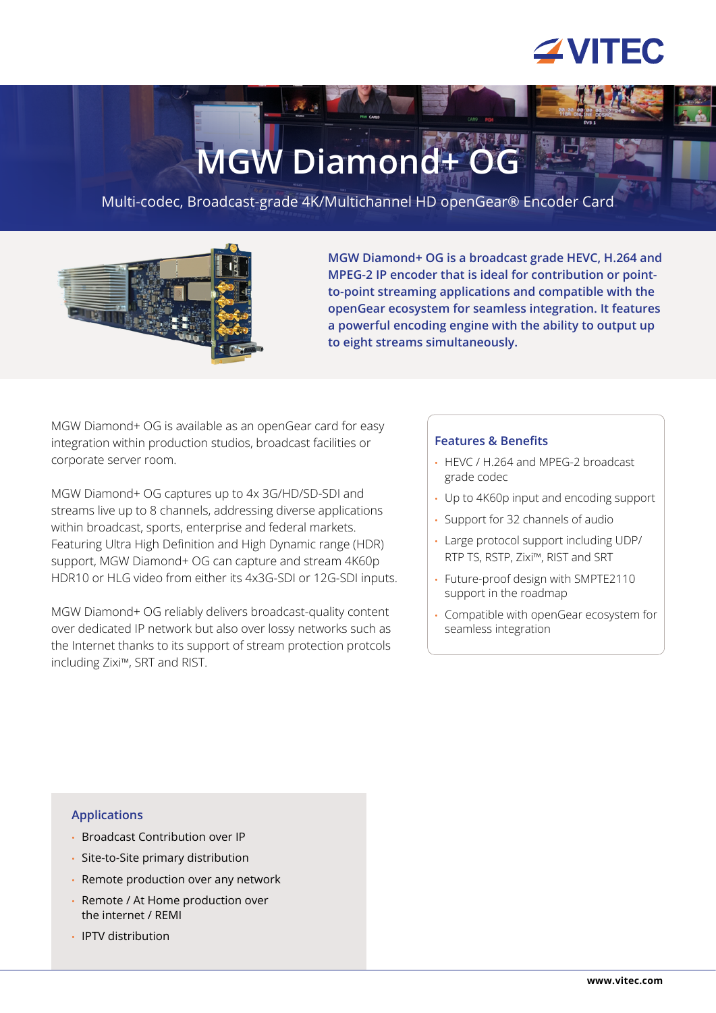## **ZVITEC**

# **MGW Diamond+**

Multi-codec, Broadcast-grade 4K/Multichannel HD openGear® Encoder Card



**MGW Diamond+ OG is a broadcast grade HEVC, H.264 and MPEG-2 IP encoder that is ideal for contribution or pointto-point streaming applications and compatible with the openGear ecosystem for seamless integration. It features a powerful encoding engine with the ability to output up to eight streams simultaneously.**

MGW Diamond+ OG is available as an openGear card for easy integration within production studios, broadcast facilities or corporate server room.

MGW Diamond+ OG captures up to 4x 3G/HD/SD-SDI and streams live up to 8 channels, addressing diverse applications within broadcast, sports, enterprise and federal markets. Featuring Ultra High Definition and High Dynamic range (HDR) support, MGW Diamond+ OG can capture and stream 4K60p HDR10 or HLG video from either its 4x3G-SDI or 12G-SDI inputs.

MGW Diamond+ OG reliably delivers broadcast-quality content over dedicated IP network but also over lossy networks such as the Internet thanks to its support of stream protection protcols including Zixi™, SRT and RIST.

#### **Features & Benefits**

- HEVC / H.264 and MPEG-2 broadcast grade codec
- Up to 4K60p input and encoding support
- Support for 32 channels of audio
- Large protocol support including UDP/ RTP TS, RSTP, Zixi™, RIST and SRT
- Future-proof design with SMPTE2110 support in the roadmap
- Compatible with openGear ecosystem for seamless integration

#### **Applications**

- Broadcast Contribution over IP
- Site-to-Site primary distribution
- Remote production over any network
- Remote / At Home production over the internet / REMI
- IPTV distribution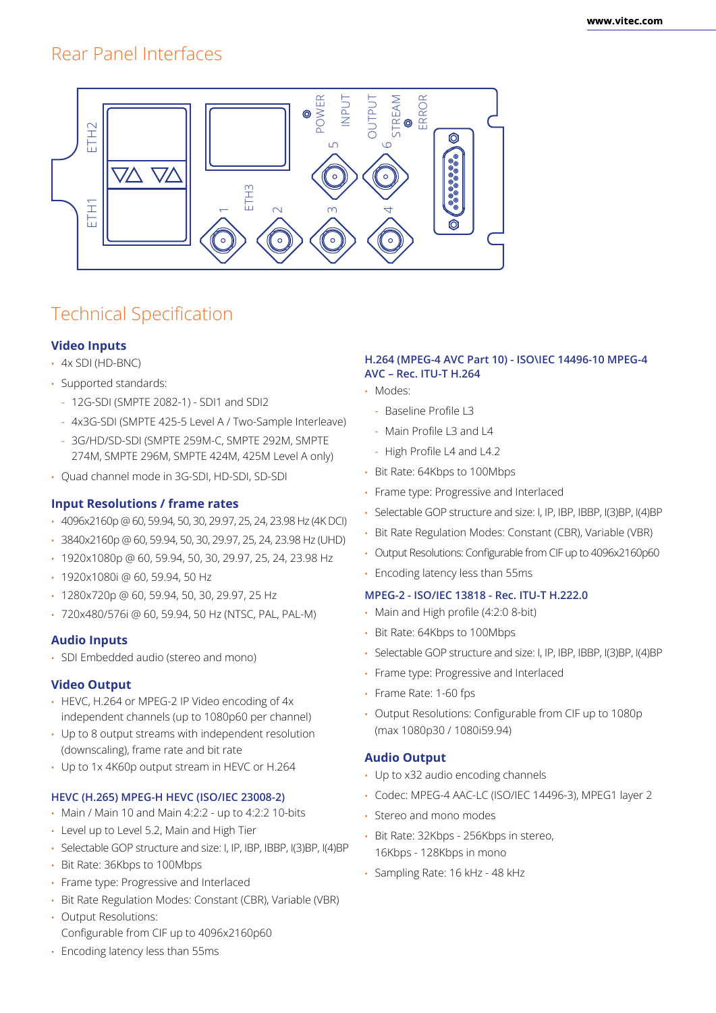### Rear Panel Interfaces



## Technical Specification

#### **Video Inputs**

- 4x SDI (HD-BNC)
- Supported standards:
	- 12G-SDI (SMPTE 2082-1) SDI1 and SDI2
	- 4x3G-SDI (SMPTE 425-5 Level A / Two-Sample Interleave)
	- 3G/HD/SD-SDI (SMPTE 259M-C, SMPTE 292M, SMPTE 274M, SMPTE 296M, SMPTE 424M, 425M Level A only)
- Quad channel mode in 3G-SDI, HD-SDI, SD-SDI

#### **Input Resolutions / frame rates**

- 4096x2160p @ 60, 59.94, 50, 30, 29.97, 25, 24, 23.98 Hz (4K DCI)
- 3840x2160p @ 60, 59.94, 50, 30, 29.97, 25, 24, 23.98 Hz (UHD)
- 1920x1080p @ 60, 59.94, 50, 30, 29.97, 25, 24, 23.98 Hz
- 1920x1080i @ 60, 59.94, 50 Hz
- 1280x720p @ 60, 59.94, 50, 30, 29.97, 25 Hz
- 720x480/576i @ 60, 59.94, 50 Hz (NTSC, PAL, PAL-M)

#### **Audio Inputs**

• SDI Embedded audio (stereo and mono)

#### **Video Output**

- HEVC, H.264 or MPEG-2 IP Video encoding of 4x independent channels (up to 1080p60 per channel)
- Up to 8 output streams with independent resolution (downscaling), frame rate and bit rate
- Up to 1x 4K60p output stream in HEVC or H.264

#### **HEVC (H.265) MPEG-H HEVC (ISO/IEC 23008-2)**

- Main / Main 10 and Main 4:2:2 up to 4:2:2 10-bits
- Level up to Level 5.2, Main and High Tier
- Selectable GOP structure and size: I, IP, IBP, IBBP, I(3)BP, I(4)BP
- Bit Rate: 36Kbps to 100Mbps
- Frame type: Progressive and Interlaced
- Bit Rate Regulation Modes: Constant (CBR), Variable (VBR)
- Output Resolutions: Configurable from CIF up to 4096x2160p60

#### **H.264 (MPEG-4 AVC Part 10) - ISO\IEC 14496-10 MPEG-4 AVC – Rec. ITU-T H.264**

- Modes:
	- Baseline Profile L3
	- Main Profile L3 and L4
	- High Profile L4 and L4.2
- Bit Rate: 64Kbps to 100Mbps
- Frame type: Progressive and Interlaced
- Selectable GOP structure and size: I, IP, IBP, IBBP, I(3)BP, I(4)BP
- Bit Rate Regulation Modes: Constant (CBR), Variable (VBR)
- Output Resolutions: Configurable from CIF up to 4096x2160p60
- Encoding latency less than 55ms

#### **MPEG-2 - ISO/IEC 13818 - Rec. ITU-T H.222.0**

- Main and High profile (4:2:0 8-bit)
- Bit Rate: 64Kbps to 100Mbps
- Selectable GOP structure and size: I, IP, IBP, IBBP, I(3)BP, I(4)BP
- Frame type: Progressive and Interlaced
- Frame Rate: 1-60 fps
- Output Resolutions: Configurable from CIF up to 1080p (max 1080p30 / 1080i59.94)

#### **Audio Output**

- Up to x32 audio encoding channels
- Codec: MPEG-4 AAC-LC (ISO/IEC 14496-3), MPEG1 layer 2
- Stereo and mono modes
- Bit Rate: 32Kbps 256Kbps in stereo, 16Kbps - 128Kbps in mono
- Sampling Rate: 16 kHz 48 kHz

• Encoding latency less than 55ms